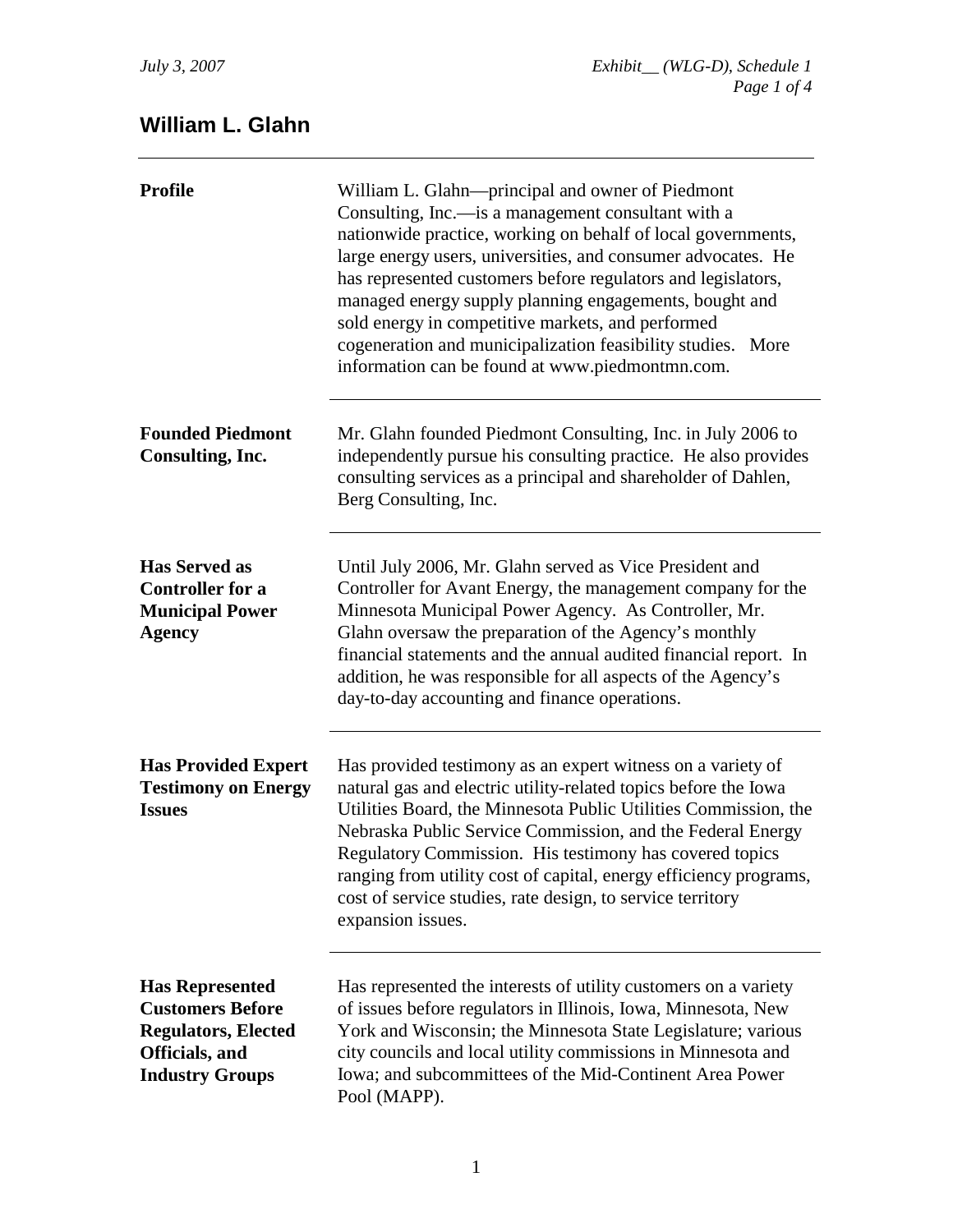## **William L. Glahn**

| <b>Profile</b>                                                                                                              | William L. Glahn—principal and owner of Piedmont<br>Consulting, Inc.—is a management consultant with a<br>nationwide practice, working on behalf of local governments,<br>large energy users, universities, and consumer advocates. He<br>has represented customers before regulators and legislators,<br>managed energy supply planning engagements, bought and<br>sold energy in competitive markets, and performed<br>cogeneration and municipalization feasibility studies. More<br>information can be found at www.piedmontmn.com. |
|-----------------------------------------------------------------------------------------------------------------------------|-----------------------------------------------------------------------------------------------------------------------------------------------------------------------------------------------------------------------------------------------------------------------------------------------------------------------------------------------------------------------------------------------------------------------------------------------------------------------------------------------------------------------------------------|
| <b>Founded Piedmont</b><br>Consulting, Inc.                                                                                 | Mr. Glahn founded Piedmont Consulting, Inc. in July 2006 to<br>independently pursue his consulting practice. He also provides<br>consulting services as a principal and shareholder of Dahlen,<br>Berg Consulting, Inc.                                                                                                                                                                                                                                                                                                                 |
| <b>Has Served as</b><br><b>Controller for a</b><br><b>Municipal Power</b><br><b>Agency</b>                                  | Until July 2006, Mr. Glahn served as Vice President and<br>Controller for Avant Energy, the management company for the<br>Minnesota Municipal Power Agency. As Controller, Mr.<br>Glahn oversaw the preparation of the Agency's monthly<br>financial statements and the annual audited financial report. In<br>addition, he was responsible for all aspects of the Agency's<br>day-to-day accounting and finance operations.                                                                                                            |
| <b>Has Provided Expert</b><br><b>Testimony on Energy</b><br><b>Issues</b>                                                   | Has provided testimony as an expert witness on a variety of<br>natural gas and electric utility-related topics before the Iowa<br>Utilities Board, the Minnesota Public Utilities Commission, the<br>Nebraska Public Service Commission, and the Federal Energy<br>Regulatory Commission. His testimony has covered topics<br>ranging from utility cost of capital, energy efficiency programs,<br>cost of service studies, rate design, to service territory<br>expansion issues.                                                      |
| <b>Has Represented</b><br><b>Customers Before</b><br><b>Regulators, Elected</b><br>Officials, and<br><b>Industry Groups</b> | Has represented the interests of utility customers on a variety<br>of issues before regulators in Illinois, Iowa, Minnesota, New<br>York and Wisconsin; the Minnesota State Legislature; various<br>city councils and local utility commissions in Minnesota and<br>Iowa; and subcommittees of the Mid-Continent Area Power<br>Pool (MAPP).                                                                                                                                                                                             |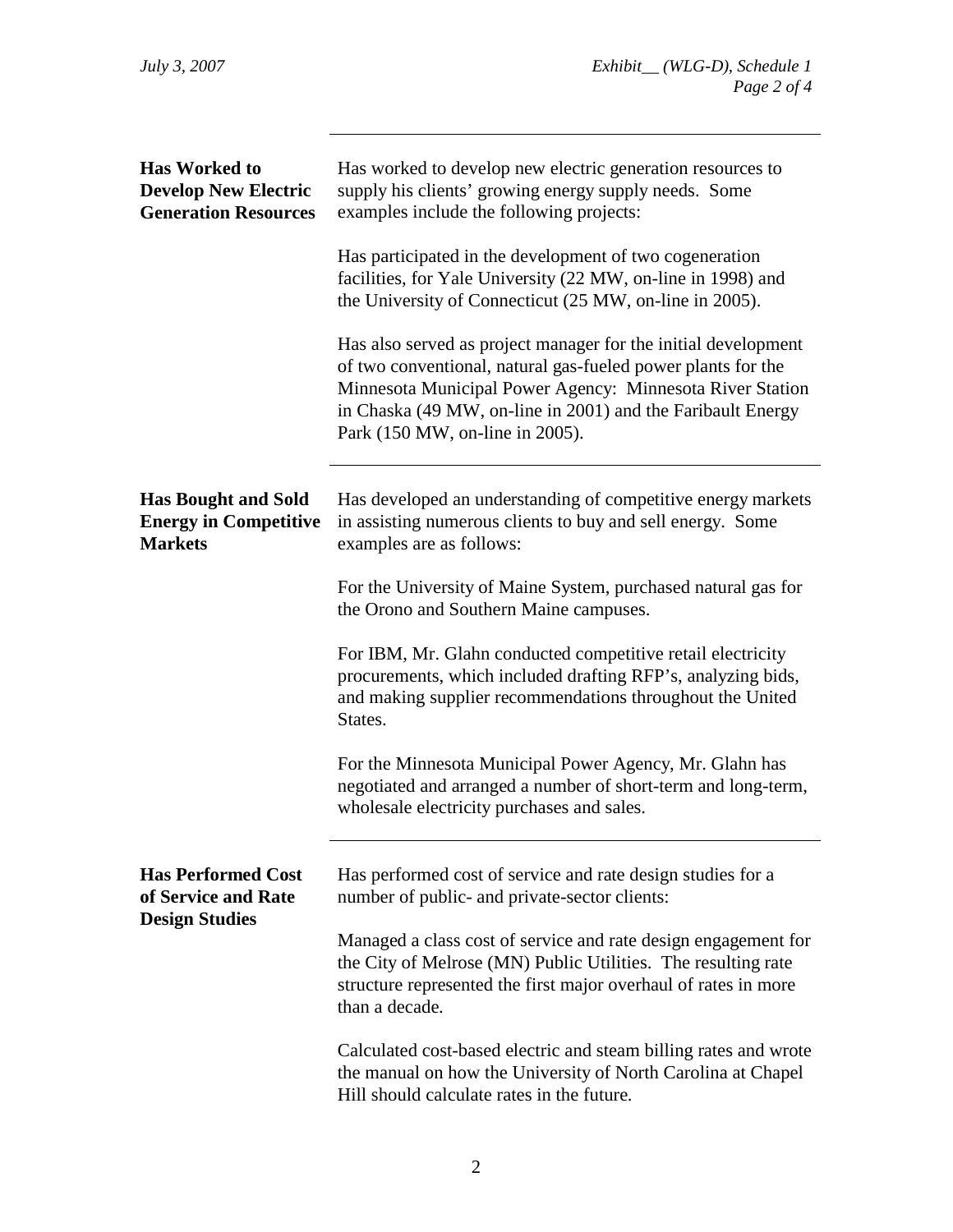| <b>Has Worked to</b><br><b>Develop New Electric</b><br><b>Generation Resources</b> | Has worked to develop new electric generation resources to<br>supply his clients' growing energy supply needs. Some<br>examples include the following projects:                                                                                                                               |
|------------------------------------------------------------------------------------|-----------------------------------------------------------------------------------------------------------------------------------------------------------------------------------------------------------------------------------------------------------------------------------------------|
|                                                                                    | Has participated in the development of two cogeneration<br>facilities, for Yale University (22 MW, on-line in 1998) and<br>the University of Connecticut (25 MW, on-line in 2005).                                                                                                            |
|                                                                                    | Has also served as project manager for the initial development<br>of two conventional, natural gas-fueled power plants for the<br>Minnesota Municipal Power Agency: Minnesota River Station<br>in Chaska (49 MW, on-line in 2001) and the Faribault Energy<br>Park (150 MW, on-line in 2005). |
| <b>Has Bought and Sold</b><br><b>Energy in Competitive</b><br><b>Markets</b>       | Has developed an understanding of competitive energy markets<br>in assisting numerous clients to buy and sell energy. Some<br>examples are as follows:                                                                                                                                        |
|                                                                                    | For the University of Maine System, purchased natural gas for<br>the Orono and Southern Maine campuses.                                                                                                                                                                                       |
|                                                                                    | For IBM, Mr. Glahn conducted competitive retail electricity<br>procurements, which included drafting RFP's, analyzing bids,<br>and making supplier recommendations throughout the United<br>States.                                                                                           |
|                                                                                    | For the Minnesota Municipal Power Agency, Mr. Glahn has<br>negotiated and arranged a number of short-term and long-term,<br>wholesale electricity purchases and sales.                                                                                                                        |
| <b>Has Performed Cost</b><br>of Service and Rate<br><b>Design Studies</b>          | Has performed cost of service and rate design studies for a<br>number of public- and private-sector clients:                                                                                                                                                                                  |
|                                                                                    | Managed a class cost of service and rate design engagement for<br>the City of Melrose (MN) Public Utilities. The resulting rate<br>structure represented the first major overhaul of rates in more<br>than a decade.                                                                          |
|                                                                                    | Calculated cost-based electric and steam billing rates and wrote<br>the manual on how the University of North Carolina at Chapel<br>Hill should calculate rates in the future.                                                                                                                |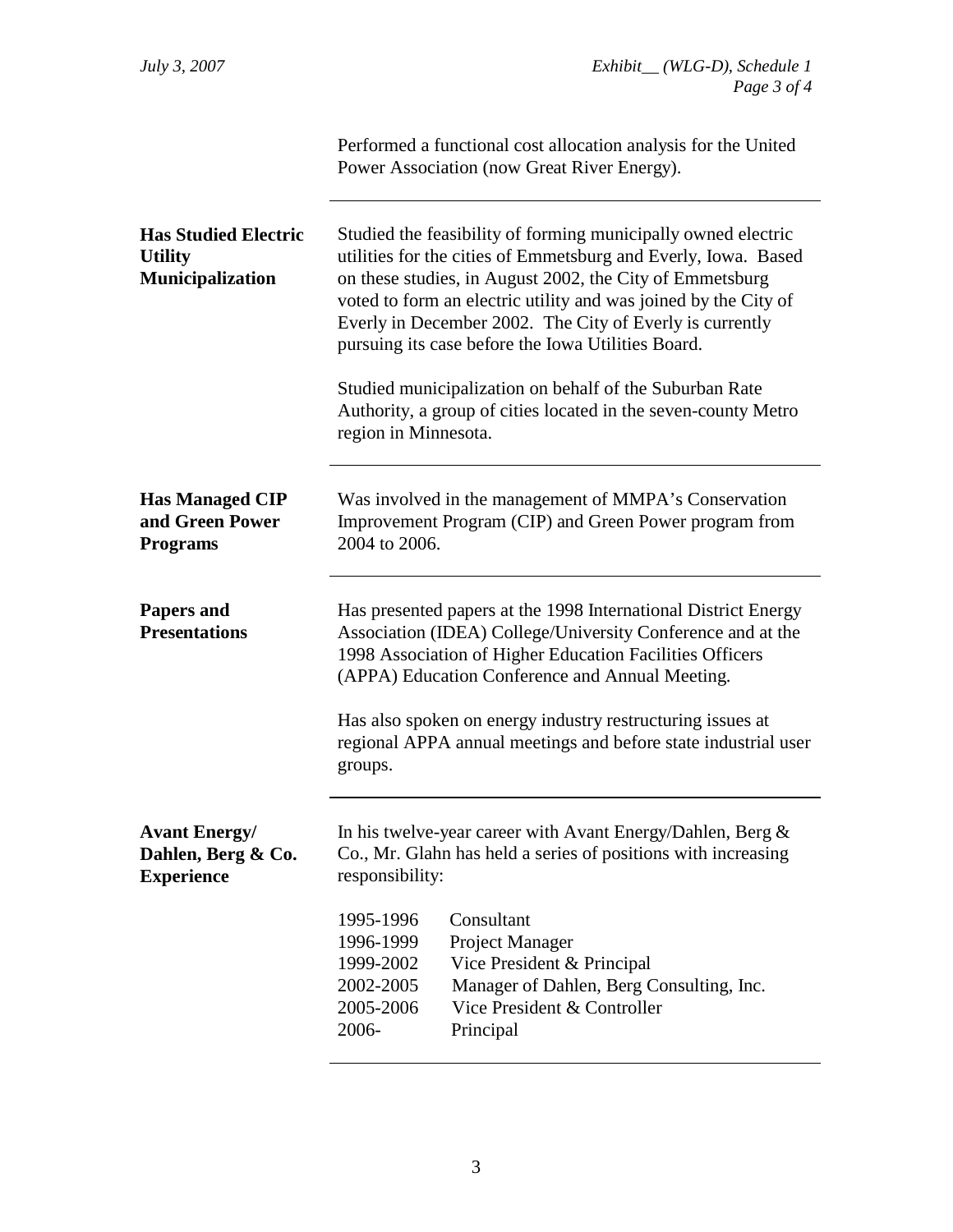|                                                                          | Performed a functional cost allocation analysis for the United<br>Power Association (now Great River Energy).                                                                                                                                                                                                                                                                    |
|--------------------------------------------------------------------------|----------------------------------------------------------------------------------------------------------------------------------------------------------------------------------------------------------------------------------------------------------------------------------------------------------------------------------------------------------------------------------|
| <b>Has Studied Electric</b><br><b>Utility</b><br><b>Municipalization</b> | Studied the feasibility of forming municipally owned electric<br>utilities for the cities of Emmetsburg and Everly, Iowa. Based<br>on these studies, in August 2002, the City of Emmetsburg<br>voted to form an electric utility and was joined by the City of<br>Everly in December 2002. The City of Everly is currently<br>pursuing its case before the Iowa Utilities Board. |
|                                                                          | Studied municipalization on behalf of the Suburban Rate<br>Authority, a group of cities located in the seven-county Metro<br>region in Minnesota.                                                                                                                                                                                                                                |
| <b>Has Managed CIP</b><br>and Green Power<br><b>Programs</b>             | Was involved in the management of MMPA's Conservation<br>Improvement Program (CIP) and Green Power program from<br>2004 to 2006.                                                                                                                                                                                                                                                 |
| <b>Papers and</b><br><b>Presentations</b>                                | Has presented papers at the 1998 International District Energy<br>Association (IDEA) College/University Conference and at the<br>1998 Association of Higher Education Facilities Officers<br>(APPA) Education Conference and Annual Meeting.                                                                                                                                     |
|                                                                          | Has also spoken on energy industry restructuring issues at<br>regional APPA annual meetings and before state industrial user<br>groups.                                                                                                                                                                                                                                          |
| <b>Avant Energy/</b><br>Dahlen, Berg & Co.<br><b>Experience</b>          | In his twelve-year career with Avant Energy/Dahlen, Berg $\&$<br>Co., Mr. Glahn has held a series of positions with increasing<br>responsibility:                                                                                                                                                                                                                                |
|                                                                          | Consultant<br>1995-1996<br>Project Manager<br>1996-1999<br>Vice President & Principal<br>1999-2002<br>Manager of Dahlen, Berg Consulting, Inc.<br>2002-2005<br>2005-2006<br>Vice President & Controller<br>2006-<br>Principal                                                                                                                                                    |